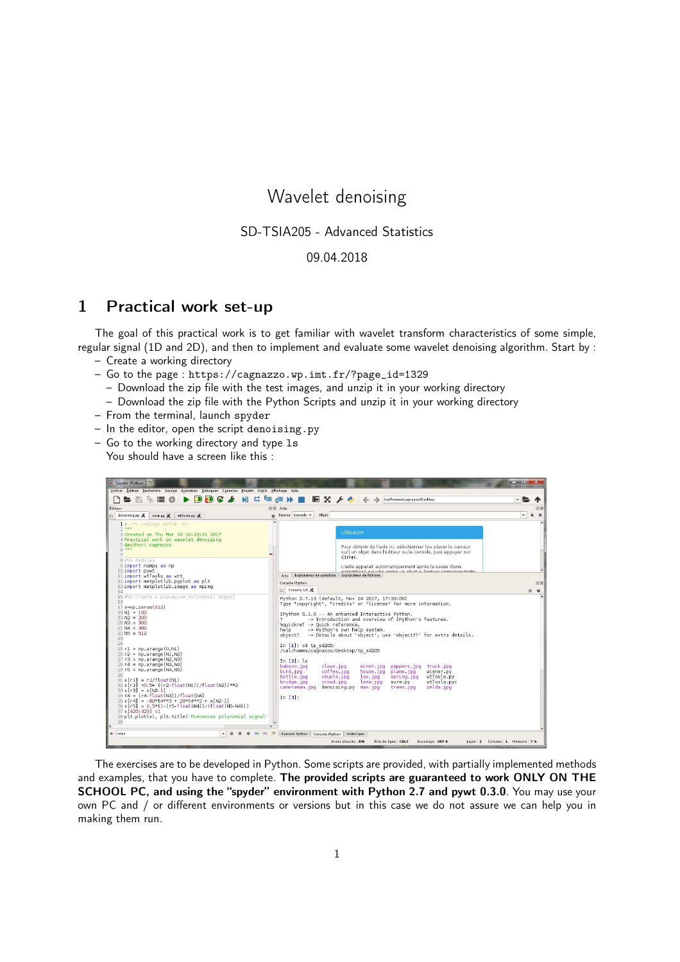# Wavelet denoising

#### SD-TSIA205 - Advanced Statistics

#### 09.04.2018

#### 1 Practical work set-up

The goal of this practical work is to get familiar with wavelet transform characteristics of some simple, regular signal (1D and 2D), and then to implement and evaluate some wavelet denoising algorithm. Start by :

- Create a working directory
- Go to the page : https://cagnazzo.wp.imt.fr/?page\_id=1329
	- Download the zip file with the test images, and unzip it in your working directory
	- Download the zip file with the Python Scripts and unzip it in your working directory
- From the terminal, launch spyder
- In the editor, open the script denoising.py
- Go to the working directory and type ls You should have a screen like this :



The exercises are to be developed in Python. Some scripts are provided, with partially implemented methods and examples, that you have to complete. The provided scripts are guaranteed to work ONLY ON THE SCHOOL PC, and using the "spyder" environment with Python 2.7 and pywt 0.3.0. You may use your own PC and / or different environments or versions but in this case we do not assure we can help you in making them run.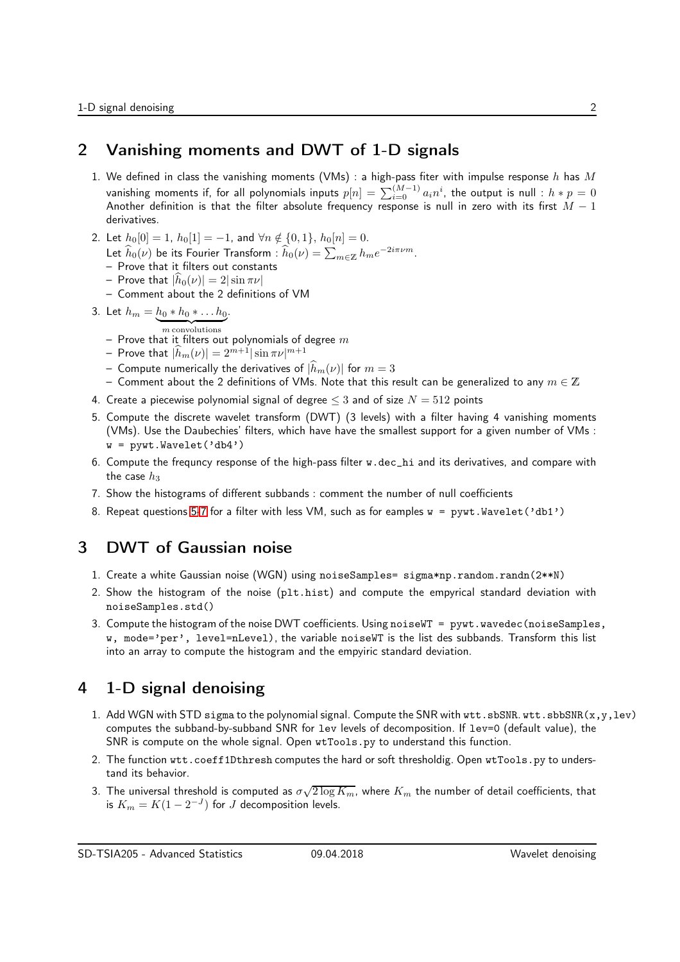### 2 Vanishing moments and DWT of 1-D signals

- 1. We defined in class the vanishing moments (VMs) : a high-pass fiter with impulse response  $h$  has  $M$ vanishing moments if, for all polynomials inputs  $p[n] = \sum_{i=0}^{(M-1)} a_i n^i$ , the output is null :  $h*p=0$ Another definition is that the filter absolute frequency response is null in zero with its first  $M - 1$ derivatives.
- 2. Let  $h_0[0] = 1$ ,  $h_0[1] = -1$ , and  $\forall n \notin \{0, 1\}$ ,  $h_0[n] = 0$ .
- Let  $\hat{h}_0(\nu)$  be its Fourier Transform :  $\hat{h}_0(\nu) = \sum_{m \in \mathbb{Z}} h_m e^{-2i\pi\nu m}$ .
- Prove that it filters out constants
- Prove that  $|\widehat{h}_0(\nu)| = 2|\sin \pi \nu|$
- Comment about the 2 definitions of VM

3. Let 
$$
h_m = \underbrace{h_0 * h_0 * \dots h_0}_{m \text{ convolutions}}
$$
.

- Prove that it filters out polynomials of degree  $m$
- $-$  Prove that  $|\widetilde{h}_m(\nu)| = 2^{m+1} |\sin \pi \nu|^{m+1}$
- Compute numerically the derivatives of  $|\widehat{h}_m(\nu)|$  for  $m = 3$
- Comment about the 2 definitions of VMs. Note that this result can be generalized to any  $m \in \mathbb{Z}$
- 4. Create a piecewise polynomial signal of degree  $\leq$  3 and of size  $N = 512$  points
- 5. Compute the discrete wavelet transform (DWT) (3 levels) with a filter having 4 vanishing moments (VMs). Use the Daubechies' filters, which have have the smallest support for a given number of VMs :  $w = pywt.Wavelet('db4')$
- 6. Compute the frequncy response of the high-pass filter w.dec\_hi and its derivatives, and compare with the case  $h_3$
- 7. Show the histograms of different subbands : comment the number of null coefficients
- 8. Repeat questions 5-7 for a filter with less VM, such as for eamples  $w = pywt.Wavelet('db1')$

## 3 DWT of Gaussian noise

- 1. Create a white Gaussian noise (WGN) using noiseSamples= sigma\*np.random.randn(2\*\*N)
- 2. Show the histogram of the noise (plt.hist) and compute the empyrical standard deviation with noiseSamples.std()
- 3. Compute the histogram of the noise DWT coefficients. Using noiseWT = pywt.wavedec(noiseSamples, w, mode='per', level=nLevel), the variable noiseWT is the list des subbands. Transform this list into an array to compute the histogram and the empyiric standard deviation.

## 4 1-D signal denoising

- 1. Add WGN with STD sigma to the polynomial signal. Compute the SNR with wtt.sbSNR. wtt.sbbSNR(x,y,lev) computes the subband-by-subband SNR for lev levels of decomposition. If lev=0 (default value), the SNR is compute on the whole signal. Open wtTools.py to understand this function.
- 2. The function wtt.coeff1Dthresh computes the hard or soft thresholdig. Open wtTools.py to understand its behavior.
- 3. The universal threshold is computed as  $\sigma\sqrt{2\log K_m}$ , where  $K_m$  the number of detail coefficients, that is  $K_m = K(1 - 2^{-J})$  for  $J$  decomposition levels.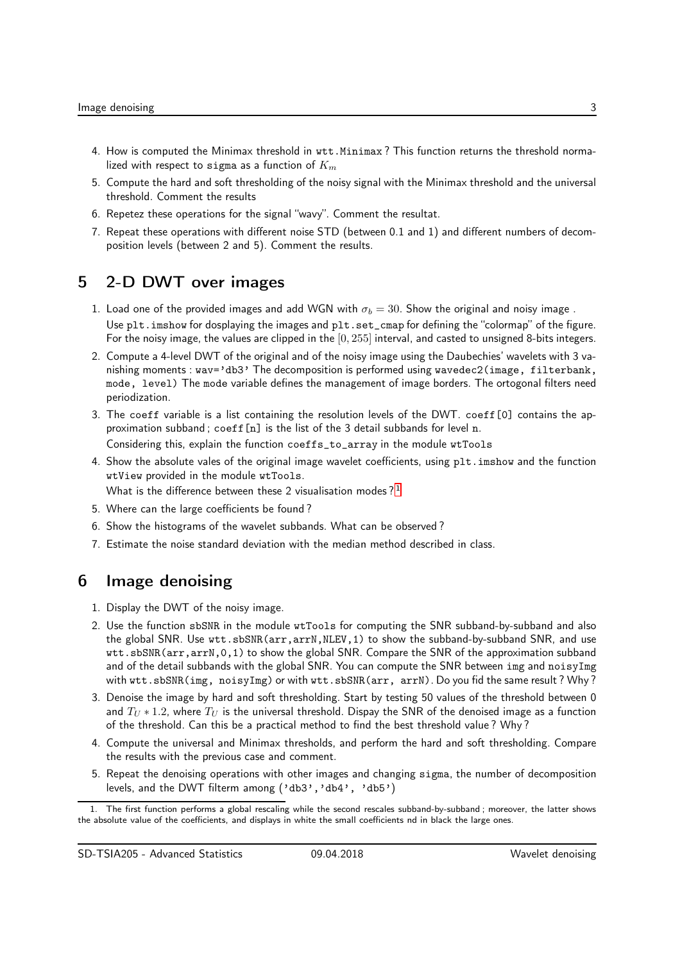- 4. How is computed the Minimax threshold in wtt.Minimax? This function returns the threshold normalized with respect to sigma as a function of  $K_m$
- 5. Compute the hard and soft thresholding of the noisy signal with the Minimax threshold and the universal threshold. Comment the results
- 6. Repetez these operations for the signal "wavy". Comment the resultat.
- 7. Repeat these operations with different noise STD (between 0.1 and 1) and different numbers of decomposition levels (between 2 and 5). Comment the results.

### 5 2-D DWT over images

- 1. Load one of the provided images and add WGN with  $\sigma_b = 30$ . Show the original and noisy image. Use plt. imshow for dosplaying the images and plt.set\_cmap for defining the "colormap" of the figure. For the noisy image, the values are clipped in the [0, 255] interval, and casted to unsigned 8-bits integers.
- 2. Compute a 4-level DWT of the original and of the noisy image using the Daubechies' wavelets with 3 vanishing moments : wav='db3' The decomposition is performed using wavedec2(image, filterbank, mode, level) The mode variable defines the management of image borders. The ortogonal filters need periodization.
- 3. The coeff variable is a list containing the resolution levels of the DWT. coeff[0] contains the approximation subband; coeff[n] is the list of the 3 detail subbands for level n. Considering this, explain the function coeffs\_to\_array in the module wtTools
- 4. Show the absolute vales of the original image wavelet coefficients, using plt. imshow and the function wtView provided in the module wtTools. What is the difference between these 2 visualisation modes?<sup>1</sup>
- 5. Where can the large coefficients be found ?
- 6. Show the histograms of the wavelet subbands. What can be observed ?
- 7. Estimate the noise standard deviation with the median method described in class.

## 6 Image denoising

- 1. Display the DWT of the noisy image.
- 2. Use the function sbSNR in the module wtTools for computing the SNR subband-by-subband and also the global SNR. Use wtt.sbSNR(arr, arrN, NLEV, 1) to show the subband-by-subband SNR, and use wtt.sbSNR(arr,arrN,0,1) to show the global SNR. Compare the SNR of the approximation subband and of the detail subbands with the global SNR. You can compute the SNR between img and noisyImg with wtt.sbSNR(img, noisyImg) or with wtt.sbSNR(arr, arrN). Do you fid the same result? Why?
- 3. Denoise the image by hard and soft thresholding. Start by testing 50 values of the threshold between 0 and  $T_U * 1.2$ , where  $T_U$  is the universal threshold. Dispay the SNR of the denoised image as a function of the threshold. Can this be a practical method to find the best threshold value ? Why ?
- 4. Compute the universal and Minimax thresholds, and perform the hard and soft thresholding. Compare the results with the previous case and comment.
- 5. Repeat the denoising operations with other images and changing sigma, the number of decomposition levels, and the DWT filterm among ('db3', 'db4', 'db5')

<sup>1.</sup> The first function performs a global rescaling while the second rescales subband-by-subband ; moreover, the latter shows the absolute value of the coefficients, and displays in white the small coefficients nd in black the large ones.